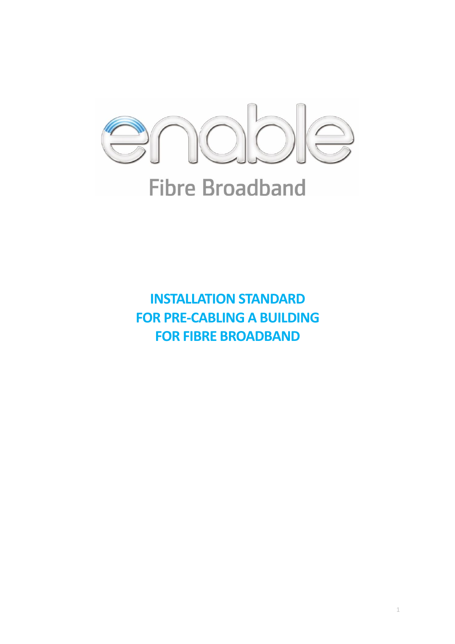

**INSTALLATION STANDARD FOR PRE-CABLING A BUILDING FOR FIBRE BROADBAND**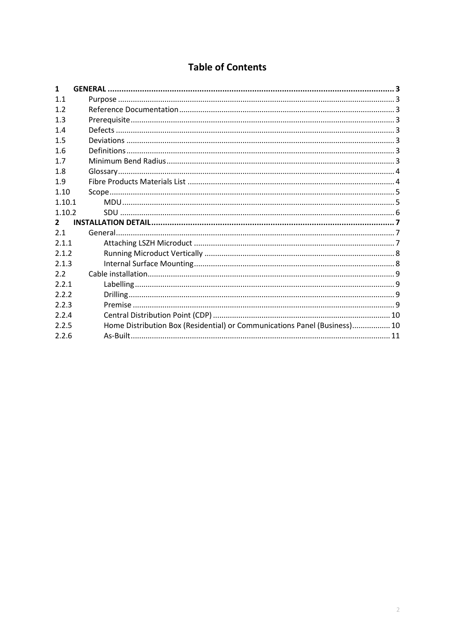# **Table of Contents**

| $\mathbf{1}$ |                                                                           |
|--------------|---------------------------------------------------------------------------|
| 1.1          |                                                                           |
| 1.2          |                                                                           |
| 1.3          |                                                                           |
| 1.4          |                                                                           |
| 1.5          |                                                                           |
| 1.6          |                                                                           |
| 1.7          |                                                                           |
| 1.8          |                                                                           |
| 1.9          |                                                                           |
| 1.10         |                                                                           |
| 1.10.1       |                                                                           |
| 1.10.2       |                                                                           |
| $\mathbf{2}$ |                                                                           |
| 2.1          |                                                                           |
| 2.1.1        |                                                                           |
| 2.1.2        |                                                                           |
| 2.1.3        |                                                                           |
| 2.2          |                                                                           |
| 2.2.1        |                                                                           |
| 2.2.2        |                                                                           |
| 2.2.3        |                                                                           |
| 2.2.4        |                                                                           |
| 2.2.5        | Home Distribution Box (Residential) or Communications Panel (Business) 10 |
| 2.2.6        |                                                                           |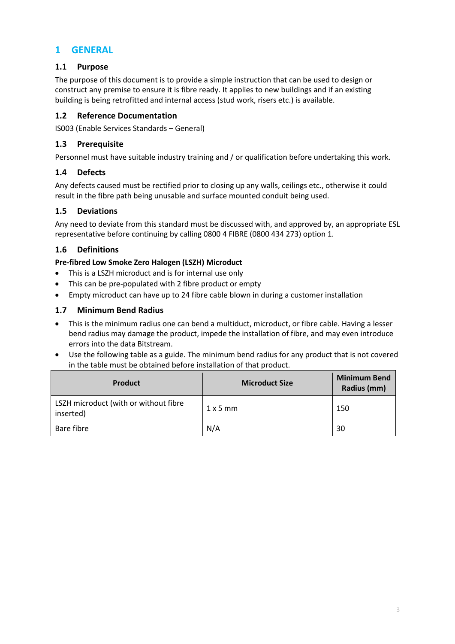## **1 GENERAL**

## **1.1 Purpose**

The purpose of this document is to provide a simple instruction that can be used to design or construct any premise to ensure it is fibre ready. It applies to new buildings and if an existing building is being retrofitted and internal access (stud work, risers etc.) is available.

#### **1.2 Reference Documentation**

IS003 (Enable Services Standards – General)

### **1.3 Prerequisite**

Personnel must have suitable industry training and / or qualification before undertaking this work.

#### **1.4 Defects**

Any defects caused must be rectified prior to closing up any walls, ceilings etc., otherwise it could result in the fibre path being unusable and surface mounted conduit being used.

#### **1.5 Deviations**

Any need to deviate from this standard must be discussed with, and approved by, an appropriate ESL representative before continuing by calling 0800 4 FIBRE (0800 434 273) option 1.

## **1.6 Definitions**

#### **Pre-fibred Low Smoke Zero Halogen (LSZH) Microduct**

- This is a LSZH microduct and is for internal use only
- This can be pre-populated with 2 fibre product or empty
- Empty microduct can have up to 24 fibre cable blown in during a customer installation

#### **1.7 Minimum Bend Radius**

- This is the minimum radius one can bend a multiduct, microduct, or fibre cable. Having a lesser bend radius may damage the product, impede the installation of fibre, and may even introduce errors into the data Bitstream.
- Use the following table as a guide. The minimum bend radius for any product that is not covered in the table must be obtained before installation of that product.

| <b>Product</b>                                     | <b>Microduct Size</b> | <b>Minimum Bend</b><br>Radius (mm) |
|----------------------------------------------------|-----------------------|------------------------------------|
| LSZH microduct (with or without fibre<br>inserted) | $1 \times 5$ mm       | 150                                |
| Bare fibre                                         | N/A                   | 30                                 |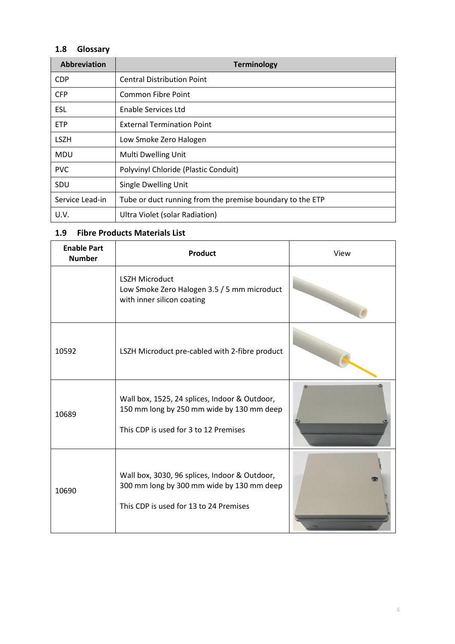## **1.8 Glossary**

| <b>Abbreviation</b> | <b>Terminology</b>                                        |
|---------------------|-----------------------------------------------------------|
| <b>CDP</b>          | <b>Central Distribution Point</b>                         |
| <b>CFP</b>          | <b>Common Fibre Point</b>                                 |
| ESL                 | Enable Services Ltd                                       |
| <b>ETP</b>          | <b>External Termination Point</b>                         |
| <b>LSZH</b>         | Low Smoke Zero Halogen                                    |
| <b>MDU</b>          | Multi Dwelling Unit                                       |
| <b>PVC</b>          | Polyvinyl Chloride (Plastic Conduit)                      |
| SDU                 | Single Dwelling Unit                                      |
| Service Lead-in     | Tube or duct running from the premise boundary to the ETP |
| U.V.                | Ultra Violet (solar Radiation)                            |

## **1.9 Fibre Products Materials List**

| <b>Enable Part</b><br><b>Number</b> | <b>Product</b>                                                                                                                       | View |
|-------------------------------------|--------------------------------------------------------------------------------------------------------------------------------------|------|
|                                     | <b>LSZH Microduct</b><br>Low Smoke Zero Halogen 3.5 / 5 mm microduct<br>with inner silicon coating                                   |      |
| 10592                               | LSZH Microduct pre-cabled with 2-fibre product                                                                                       |      |
| 10689                               | Wall box, 1525, 24 splices, Indoor & Outdoor,<br>150 mm long by 250 mm wide by 130 mm deep<br>This CDP is used for 3 to 12 Premises  |      |
| 10690                               | Wall box, 3030, 96 splices, Indoor & Outdoor,<br>300 mm long by 300 mm wide by 130 mm deep<br>This CDP is used for 13 to 24 Premises |      |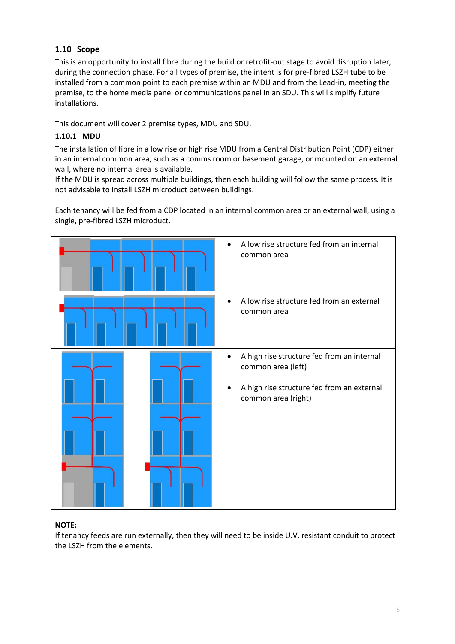## **1.10 Scope**

This is an opportunity to install fibre during the build or retrofit-out stage to avoid disruption later, during the connection phase. For all types of premise, the intent is for pre-fibred LSZH tube to be installed from a common point to each premise within an MDU and from the Lead-in, meeting the premise, to the home media panel or communications panel in an SDU. This will simplify future installations.

This document will cover 2 premise types, MDU and SDU.

### **1.10.1 MDU**

The installation of fibre in a low rise or high rise MDU from a Central Distribution Point (CDP) either in an internal common area, such as a comms room or basement garage, or mounted on an external wall, where no internal area is available.

If the MDU is spread across multiple buildings, then each building will follow the same process. It is not advisable to install LSZH microduct between buildings.

Each tenancy will be fed from a CDP located in an internal common area or an external wall, using a single, pre-fibred LSZH microduct.



#### **NOTE:**

If tenancy feeds are run externally, then they will need to be inside U.V. resistant conduit to protect the LSZH from the elements.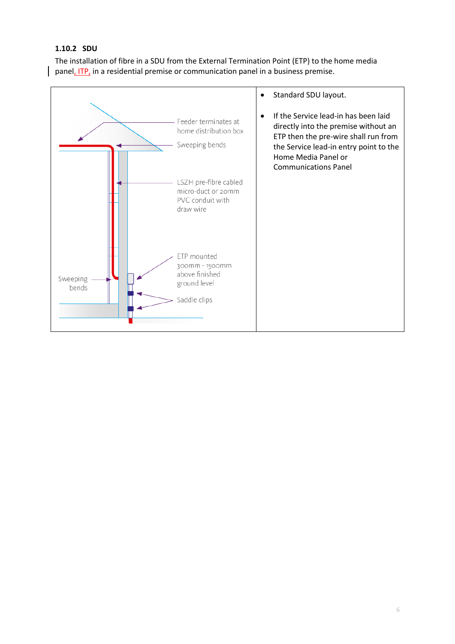#### **1.10.2 SDU**

The installation of fibre in a SDU from the External Termination Point (ETP) to the home media panel, ITP, in a residential premise or communication panel in a business premise.

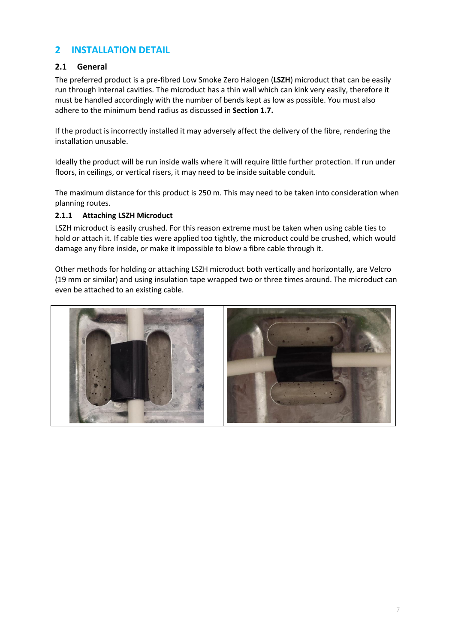## **2 INSTALLATION DETAIL**

## **2.1 General**

The preferred product is a pre-fibred Low Smoke Zero Halogen (**LSZH**) microduct that can be easily run through internal cavities. The microduct has a thin wall which can kink very easily, therefore it must be handled accordingly with the number of bends kept as low as possible. You must also adhere to the minimum bend radius as discussed in **Section 1.7.**

If the product is incorrectly installed it may adversely affect the delivery of the fibre, rendering the installation unusable.

Ideally the product will be run inside walls where it will require little further protection. If run under floors, in ceilings, or vertical risers, it may need to be inside suitable conduit.

The maximum distance for this product is 250 m. This may need to be taken into consideration when planning routes.

#### **2.1.1 Attaching LSZH Microduct**

LSZH microduct is easily crushed. For this reason extreme must be taken when using cable ties to hold or attach it. If cable ties were applied too tightly, the microduct could be crushed, which would damage any fibre inside, or make it impossible to blow a fibre cable through it.

Other methods for holding or attaching LSZH microduct both vertically and horizontally, are Velcro (19 mm or similar) and using insulation tape wrapped two or three times around. The microduct can even be attached to an existing cable.

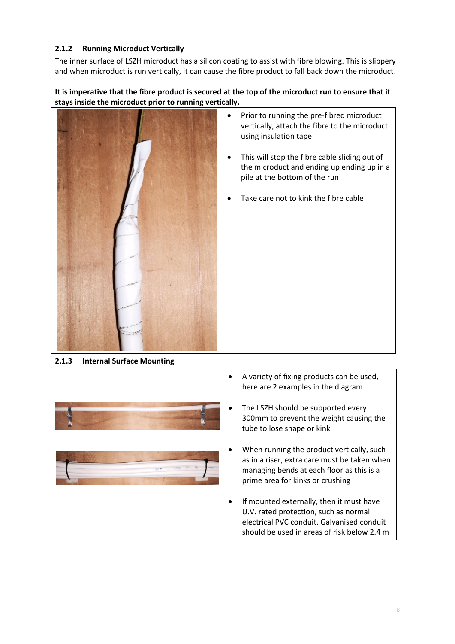### **2.1.2 Running Microduct Vertically**

The inner surface of LSZH microduct has a silicon coating to assist with fibre blowing. This is slippery and when microduct is run vertically, it can cause the fibre product to fall back down the microduct.

#### **It is imperative that the fibre product is secured at the top of the microduct run to ensure that it stays inside the microduct prior to running vertically.**



- Prior to running the pre-fibred microduct vertically, attach the fibre to the microduct using insulation tape
- This will stop the fibre cable sliding out of the microduct and ending up ending up in a pile at the bottom of the run
- Take care not to kink the fibre cable

**2.1.3 Internal Surface Mounting**

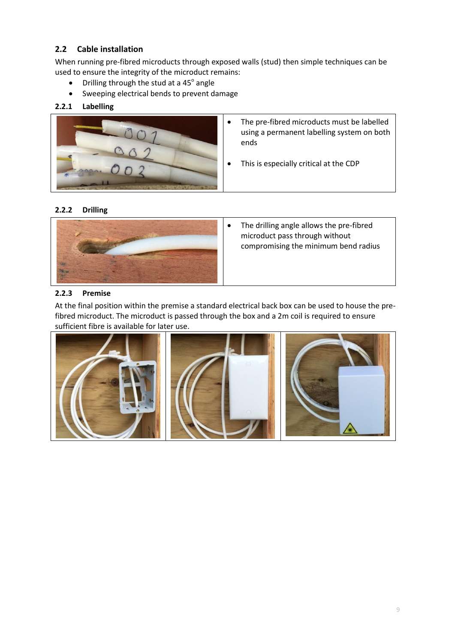## **2.2 Cable installation**

When running pre-fibred microducts through exposed walls (stud) then simple techniques can be used to ensure the integrity of the microduct remains:

- Drilling through the stud at a  $45^\circ$  angle
- Sweeping electrical bends to prevent damage

#### **2.2.1 Labelling**



- The pre-fibred microducts must be labelled using a permanent labelling system on both ends
- This is especially critical at the CDP

#### **2.2.2 Drilling**



• The drilling angle allows the pre-fibred microduct pass through without compromising the minimum bend radius

#### **2.2.3 Premise**

At the final position within the premise a standard electrical back box can be used to house the prefibred microduct. The microduct is passed through the box and a 2m coil is required to ensure sufficient fibre is available for later use.

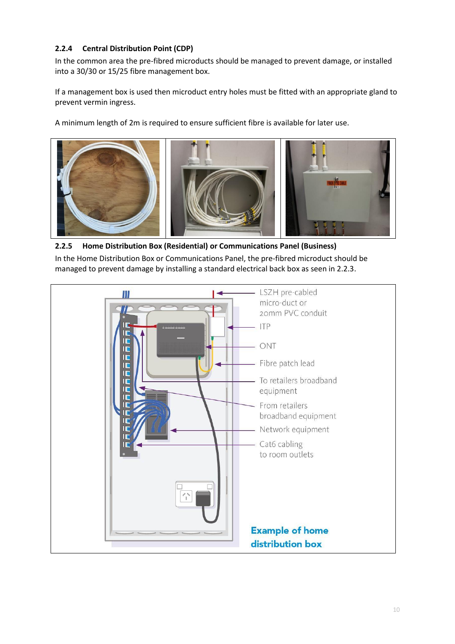## **2.2.4 Central Distribution Point (CDP)**

In the common area the pre-fibred microducts should be managed to prevent damage, or installed into a 30/30 or 15/25 fibre management box.

If a management box is used then microduct entry holes must be fitted with an appropriate gland to prevent vermin ingress.

A minimum length of 2m is required to ensure sufficient fibre is available for later use.



#### **2.2.5 Home Distribution Box (Residential) or Communications Panel (Business)**

In the Home Distribution Box or Communications Panel, the pre-fibred microduct should be managed to prevent damage by installing a standard electrical back box as seen in 2.2.3.